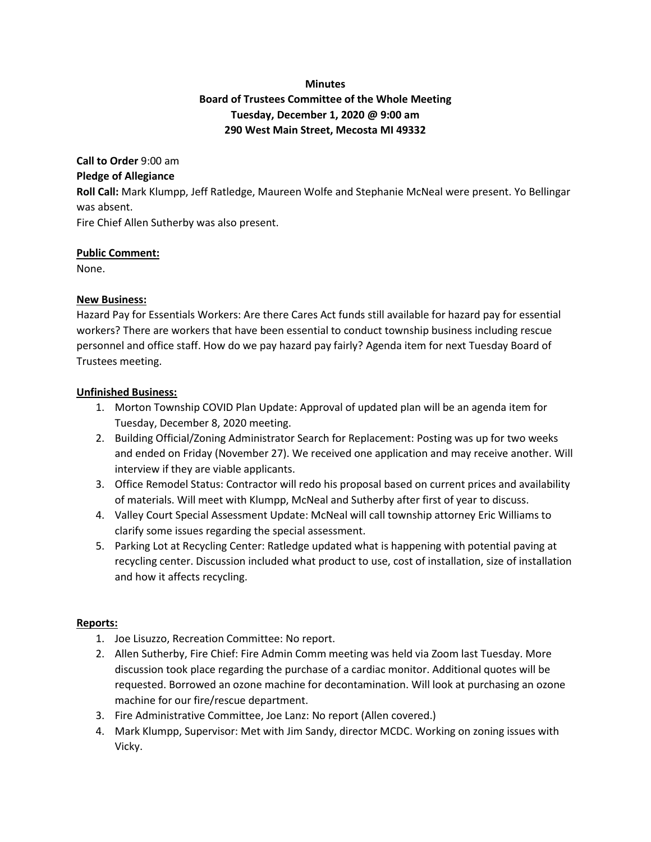# **Minutes Board of Trustees Committee of the Whole Meeting Tuesday, December 1, 2020 @ 9:00 am 290 West Main Street, Mecosta MI 49332**

# **Call to Order** 9:00 am **Pledge of Allegiance Roll Call:** Mark Klumpp, Jeff Ratledge, Maureen Wolfe and Stephanie McNeal were present. Yo Bellingar was absent. Fire Chief Allen Sutherby was also present.

#### **Public Comment:**

None.

### **New Business:**

Hazard Pay for Essentials Workers: Are there Cares Act funds still available for hazard pay for essential workers? There are workers that have been essential to conduct township business including rescue personnel and office staff. How do we pay hazard pay fairly? Agenda item for next Tuesday Board of Trustees meeting.

### **Unfinished Business:**

- 1. Morton Township COVID Plan Update: Approval of updated plan will be an agenda item for Tuesday, December 8, 2020 meeting.
- 2. Building Official/Zoning Administrator Search for Replacement: Posting was up for two weeks and ended on Friday (November 27). We received one application and may receive another. Will interview if they are viable applicants.
- 3. Office Remodel Status: Contractor will redo his proposal based on current prices and availability of materials. Will meet with Klumpp, McNeal and Sutherby after first of year to discuss.
- 4. Valley Court Special Assessment Update: McNeal will call township attorney Eric Williams to clarify some issues regarding the special assessment.
- 5. Parking Lot at Recycling Center: Ratledge updated what is happening with potential paving at recycling center. Discussion included what product to use, cost of installation, size of installation and how it affects recycling.

## **Reports:**

- 1. Joe Lisuzzo, Recreation Committee: No report.
- 2. Allen Sutherby, Fire Chief: Fire Admin Comm meeting was held via Zoom last Tuesday. More discussion took place regarding the purchase of a cardiac monitor. Additional quotes will be requested. Borrowed an ozone machine for decontamination. Will look at purchasing an ozone machine for our fire/rescue department.
- 3. Fire Administrative Committee, Joe Lanz: No report (Allen covered.)
- 4. Mark Klumpp, Supervisor: Met with Jim Sandy, director MCDC. Working on zoning issues with Vicky.